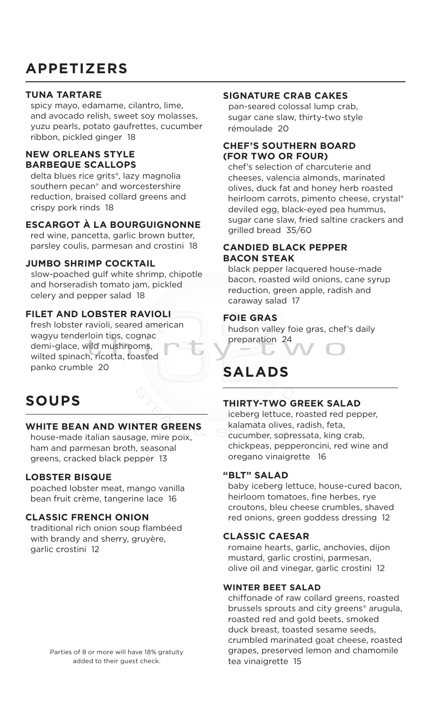# **APPETIZERS**

#### **TUNA TARTARE**

 spicy mayo, edamame, cilantro, lime, and avocado relish, sweet soy molasses, yuzu pearls, potato gaufrettes, cucumber ribbon, pickled ginger 18

#### **NEW ORLEANS STYLE BARBEQUE SCALLOPS**

 delta blues rice grits®, lazy magnolia southern pecan® and worcestershire reduction, braised collard greens and crispy pork rinds 18

#### **ESCARGOT À LA BOURGUIGNONNE**

 red wine, pancetta, garlic brown butter, parsley coulis, parmesan and crostini 18

#### **JUMBO SHRIMP COCKTAIL**

slow-poached gulf white shrimp, chipotle and horseradish tomato jam, pickled celery and pepper salad 18

#### **FILET AND LOBSTER RAVIOLI**

 fresh lobster ravioli, seared american wagyu tenderloin tips, cognac demi-glace, wild mushrooms, wilted spinach, ricotta, toasted panko crumble 20

# **SOUPS**

#### **WHITE BEAN AND WINTER GREENS**

 house-made italian sausage, mire poix, ham and parmesan broth, seasonal greens, cracked black pepper 13

#### **LOBSTER BISQUE**

 poached lobster meat, mango vanilla bean fruit crème, tangerine lace 16

#### **CLASSIC FRENCH ONION**

traditional rich onion soup flambéed with brandy and sherry, gruyère, garlic crostini 12

Parties of 8 or more will have 18% gratuity added to their guest check.

### **SIGNATURE CRAB CAKES**

pan-seared colossal lump crab, sugar cane slaw, thirty-two style rémoulade 20

#### **CHEF'S SOUTHERN BOARD (FOR TWO OR FOUR)**

 chef's selection of charcuterie and cheeses, valencia almonds, marinated olives, duck fat and honey herb roasted heirloom carrots, pimento cheese, crystal® deviled egg, black-eyed pea hummus, sugar cane slaw, fried saltine crackers and grilled bread 35/60

#### **CANDIED BLACK PEPPER BACON STEAK**

 black pepper lacquered house-made bacon, roasted wild onions, cane syrup reduction, green apple, radish and caraway salad 17

#### **FOIE GRAS**

 hudson valley foie gras, chef's daily preparation 24

# **SALADS**

#### **THIRTY-TWO GREEK SALAD**

 iceberg lettuce, roasted red pepper, kalamata olives, radish, feta,

 cucumber, sopressata, king crab, chickpeas, pepperoncini, red wine and oregano vinaigrette 16

#### **"BLT" SALAD**

 baby iceberg lettuce, house-cured bacon, heirloom tomatoes, fine herbes, rye croutons, bleu cheese crumbles, shaved red onions, green goddess dressing 12

#### **CLASSIC CAESAR**

 romaine hearts, garlic, anchovies, dijon mustard, garlic crostini, parmesan, olive oil and vinegar, garlic crostini 12

#### **WINTER BEET SALAD**

 chiffonade of raw collard greens, roasted brussels sprouts and city greens® arugula, roasted red and gold beets, smoked duck breast, toasted sesame seeds, crumbled marinated goat cheese, roasted grapes, preserved lemon and chamomile tea vinaigrette 15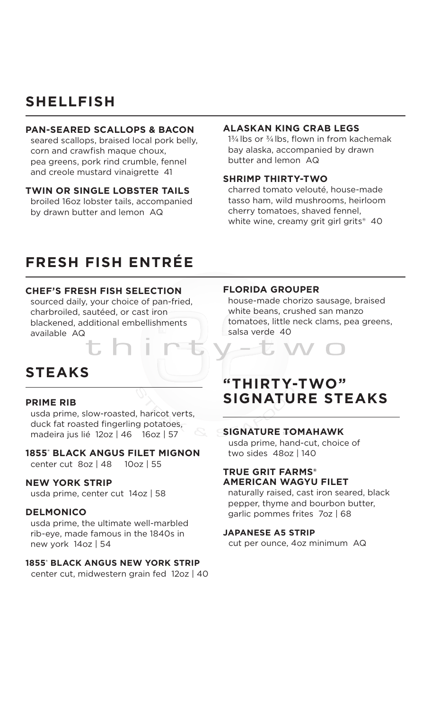### **SHELLFISH**

#### **PAN-SEARED SCALLOPS & BACON**

 seared scallops, braised local pork belly, corn and crawfish maque choux, pea greens, pork rind crumble, fennel and creole mustard vinaigrette 41

#### **TWIN OR SINGLE LOBSTER TAILS**

 broiled 16oz lobster tails, accompanied by drawn butter and lemon AQ

#### **ALASKAN KING CRAB LEGS**

 $1\frac{3}{4}$  lbs or  $\frac{3}{4}$  lbs, flown in from kachemak bay alaska, accompanied by drawn butter and lemon AQ

#### **SHRIMP THIRTY-TWO**

 charred tomato velouté, house-made tasso ham, wild mushrooms, heirloom cherry tomatoes, shaved fennel, white wine, creamy grit girl grits<sup>®</sup> 40

## **FRESH FISH ENTRÉE**

#### **CHEF'S FRESH FISH SELECTION**

 sourced daily, your choice of pan-fried, charbroiled, sautéed, or cast iron blackened, additional embellishments available AQ

# **STEAKS**

#### **PRIME RIB**

 usda prime, slow-roasted, haricot verts, duck fat roasted fingerling potatoes, madeira jus lié 12oz | 46 16oz | 57

**1855® BLACK ANGUS FILET MIGNON** center cut 8oz | 48 10oz | 55

#### **NEW YORK STRIP**

usda prime, center cut 14oz | 58

#### **DELMONICO**

 usda prime, the ultimate well-marbled rib-eye, made famous in the 1840s in new york 14oz | 54

#### **1855® BLACK ANGUS NEW YORK STRIP**

center cut, midwestern grain fed 12oz | 40

#### **FLORIDA GROUPER**

 house-made chorizo sausage, braised white beans, crushed san manzo tomatoes, little neck clams, pea greens, salsa verde 40



### **"THIRTY-TWO" SIGNATURE STEAKS**

#### **SIGNATURE TOMAHAWK**

usda prime, hand-cut, choice of two sides 48oz | 140

#### **TRUE GRIT FARMS® AMERICAN WAGYU FILET**

 naturally raised, cast iron seared, black pepper, thyme and bourbon butter, garlic pommes frites 7oz | 68

#### **JAPANESE A5 STRIP**

cut per ounce, 4oz minimum AQ